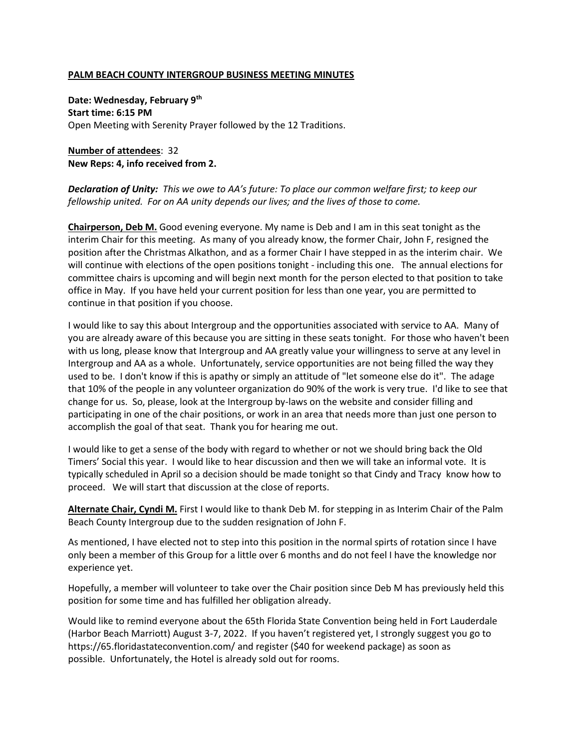## **PALM BEACH COUNTY INTERGROUP BUSINESS MEETING MINUTES**

**Date: Wednesday, February 9th Start time: 6:15 PM** Open Meeting with Serenity Prayer followed by the 12 Traditions.

**Number of attendees**: 32 **New Reps: 4, info received from 2.** 

*Declaration of Unity: This we owe to AA's future: To place our common welfare first; to keep our fellowship united. For on AA unity depends our lives; and the lives of those to come.* 

**Chairperson, Deb M.** Good evening everyone. My name is Deb and I am in this seat tonight as the interim Chair for this meeting. As many of you already know, the former Chair, John F, resigned the position after the Christmas Alkathon, and as a former Chair I have stepped in as the interim chair. We will continue with elections of the open positions tonight - including this one. The annual elections for committee chairs is upcoming and will begin next month for the person elected to that position to take office in May. If you have held your current position for less than one year, you are permitted to continue in that position if you choose.

I would like to say this about Intergroup and the opportunities associated with service to AA. Many of you are already aware of this because you are sitting in these seats tonight. For those who haven't been with us long, please know that Intergroup and AA greatly value your willingness to serve at any level in Intergroup and AA as a whole. Unfortunately, service opportunities are not being filled the way they used to be. I don't know if this is apathy or simply an attitude of "let someone else do it". The adage that 10% of the people in any volunteer organization do 90% of the work is very true. I'd like to see that change for us. So, please, look at the Intergroup by-laws on the website and consider filling and participating in one of the chair positions, or work in an area that needs more than just one person to accomplish the goal of that seat. Thank you for hearing me out.

I would like to get a sense of the body with regard to whether or not we should bring back the Old Timers' Social this year. I would like to hear discussion and then we will take an informal vote. It is typically scheduled in April so a decision should be made tonight so that Cindy and Tracy know how to proceed. We will start that discussion at the close of reports.

**Alternate Chair, Cyndi M.** First I would like to thank Deb M. for stepping in as Interim Chair of the Palm Beach County Intergroup due to the sudden resignation of John F.

As mentioned, I have elected not to step into this position in the normal spirts of rotation since I have only been a member of this Group for a little over 6 months and do not feel I have the knowledge nor experience yet.

Hopefully, a member will volunteer to take over the Chair position since Deb M has previously held this position for some time and has fulfilled her obligation already.

Would like to remind everyone about the 65th Florida State Convention being held in Fort Lauderdale (Harbor Beach Marriott) August 3-7, 2022. If you haven't registered yet, I strongly suggest you go to <https://65.floridastateconvention.com/> and register (\$40 for weekend package) as soon as possible. Unfortunately, the Hotel is already sold out for rooms.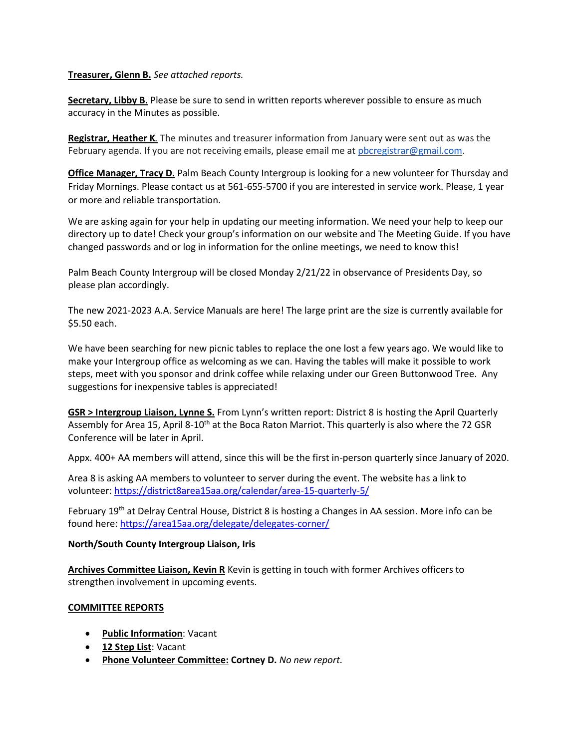# **Treasurer, Glenn B.** *See attached reports.*

**Secretary, Libby B.** Please be sure to send in written reports wherever possible to ensure as much accuracy in the Minutes as possible.

**Registrar, Heather K***.* The minutes and treasurer information from January were sent out as was the February agenda. If you are not receiving emails, please email me at [pbcregistrar@gmail.com.](mailto:pbcregistrar@gmail.com)

**Office Manager, Tracy D.** Palm Beach County Intergroup is looking for a new volunteer for Thursday and Friday Mornings. Please contact us at 561-655-5700 if you are interested in service work. Please, 1 year or more and reliable transportation.

We are asking again for your help in updating our meeting information. We need your help to keep our directory up to date! Check your group's information on our website and The Meeting Guide. If you have changed passwords and or log in information for the online meetings, we need to know this!

Palm Beach County Intergroup will be closed Monday 2/21/22 in observance of Presidents Day, so please plan accordingly.

The new 2021-2023 A.A. Service Manuals are here! The large print are the size is currently available for \$5.50 each.

We have been searching for new picnic tables to replace the one lost a few years ago. We would like to make your Intergroup office as welcoming as we can. Having the tables will make it possible to work steps, meet with you sponsor and drink coffee while relaxing under our Green Buttonwood Tree. Any suggestions for inexpensive tables is appreciated!

**GSR > Intergroup Liaison, Lynne S.** From Lynn's written report: District 8 is hosting the April Quarterly Assembly for Area 15, April 8-10<sup>th</sup> at the Boca Raton Marriot. This quarterly is also where the 72 GSR Conference will be later in April.

Appx. 400+ AA members will attend, since this will be the first in-person quarterly since January of 2020.

Area 8 is asking AA members to volunteer to server during the event. The website has a link to volunteer[: https://district8area15aa.org/calendar/area-15-quarterly-5/](https://district8area15aa.org/calendar/area-15-quarterly-5/)

February 19<sup>th</sup> at Delray Central House, District 8 is hosting a Changes in AA session. More info can be found here:<https://area15aa.org/delegate/delegates-corner/>

# **North/South County Intergroup Liaison, Iris**

**Archives Committee Liaison, Kevin R** Kevin is getting in touch with former Archives officers to strengthen involvement in upcoming events.

# **COMMITTEE REPORTS**

- **Public Information**: Vacant
- **12 Step List**: Vacant
- **Phone Volunteer Committee: Cortney D.** *No new report.*